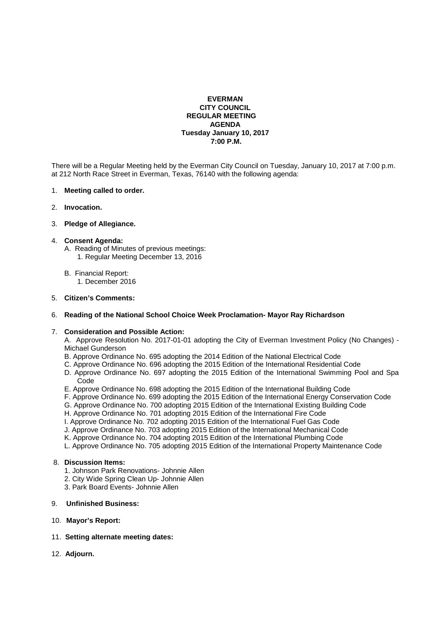## **EVERMAN CITY COUNCIL REGULAR MEETING AGENDA Tuesday January 10, 2017 7:00 P.M.**

There will be a Regular Meeting held by the Everman City Council on Tuesday, January 10, 2017 at 7:00 p.m. at 212 North Race Street in Everman, Texas, 76140 with the following agenda:

### 1. **Meeting called to order.**

### 2. **Invocation.**

## 3. **Pledge of Allegiance.**

### 4. **Consent Agenda:**

- A. Reading of Minutes of previous meetings:
	- 1. Regular Meeting December 13, 2016
- B. Financial Report:
	- 1. December 2016

### 5. **Citizen's Comments:**

## 6. **Reading of the National School Choice Week Proclamation- Mayor Ray Richardson**

## 7. **Consideration and Possible Action:**

 A. Approve Resolution No. 2017-01-01 adopting the City of Everman Investment Policy (No Changes) - Michael Gunderson

- B. Approve Ordinance No. 695 adopting the 2014 Edition of the National Electrical Code
- C. Approve Ordinance No. 696 adopting the 2015 Edition of the International Residential Code
- D. Approve Ordinance No. 697 adopting the 2015 Edition of the International Swimming Pool and Spa Code
- E. Approve Ordinance No. 698 adopting the 2015 Edition of the International Building Code
- F. Approve Ordinance No. 699 adopting the 2015 Edition of the International Energy Conservation Code
- G. Approve Ordinance No. 700 adopting 2015 Edition of the International Existing Building Code
- H. Approve Ordinance No. 701 adopting 2015 Edition of the International Fire Code
- I. Approve Ordinance No. 702 adopting 2015 Edition of the International Fuel Gas Code
- J. Approve Ordinance No. 703 adopting 2015 Edition of the International Mechanical Code
- K. Approve Ordinance No. 704 adopting 2015 Edition of the International Plumbing Code
- L. Approve Ordinance No. 705 adopting 2015 Edition of the International Property Maintenance Code

# 8. **Discussion Items:**

- 1. Johnson Park Renovations- Johnnie Allen
- 2. City Wide Spring Clean Up- Johnnie Allen
- 3. Park Board Events- Johnnie Allen

# 9. **Unfinished Business:**

10. **Mayor's Report:**

# 11. **Setting alternate meeting dates:**

12. **Adjourn.**